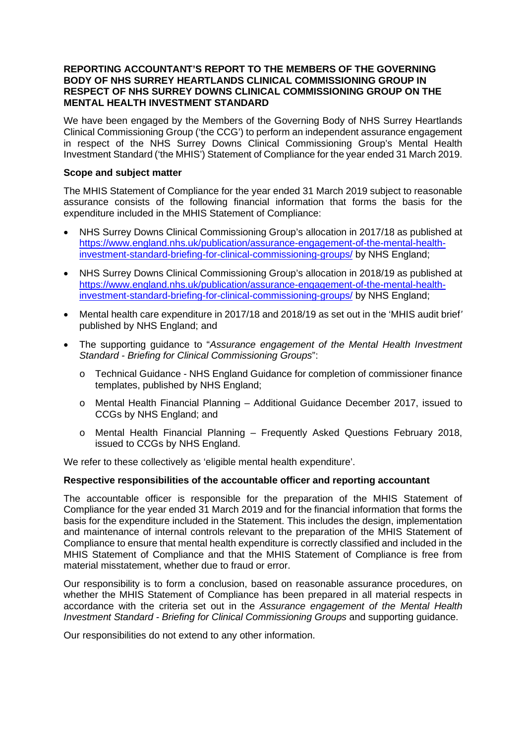#### **REPORTING ACCOUNTANT'S REPORT TO THE MEMBERS OF THE GOVERNING BODY OF NHS SURREY HEARTLANDS CLINICAL COMMISSIONING GROUP IN RESPECT OF NHS SURREY DOWNS CLINICAL COMMISSIONING GROUP ON THE MENTAL HEALTH INVESTMENT STANDARD**

We have been engaged by the Members of the Governing Body of NHS Surrey Heartlands Clinical Commissioning Group ('the CCG') to perform an independent assurance engagement in respect of the NHS Surrey Downs Clinical Commissioning Group's Mental Health Investment Standard ('the MHIS') Statement of Compliance for the year ended 31 March 2019.

### **Scope and subject matter**

The MHIS Statement of Compliance for the year ended 31 March 2019 subject to reasonable assurance consists of the following financial information that forms the basis for the expenditure included in the MHIS Statement of Compliance:

- NHS Surrey Downs Clinical Commissioning Group's allocation in 2017/18 as published at [https://www.england.nhs.uk/publication/assurance-engagement-of-the-mental-health](https://www.england.nhs.uk/publication/assurance-engagement-of-the-mental-health-investment-standard-briefing-for-clinical-commissioning-groups/)[investment-standard-briefing-for-clinical-commissioning-groups/](https://www.england.nhs.uk/publication/assurance-engagement-of-the-mental-health-investment-standard-briefing-for-clinical-commissioning-groups/) by NHS England;
- NHS Surrey Downs Clinical Commissioning Group's allocation in 2018/19 as published at [https://www.england.nhs.uk/publication/assurance-engagement-of-the-mental-health](https://www.england.nhs.uk/publication/assurance-engagement-of-the-mental-health-investment-standard-briefing-for-clinical-commissioning-groups/)[investment-standard-briefing-for-clinical-commissioning-groups/](https://www.england.nhs.uk/publication/assurance-engagement-of-the-mental-health-investment-standard-briefing-for-clinical-commissioning-groups/) by NHS England;
- Mental health care expenditure in 2017/18 and 2018/19 as set out in the 'MHIS audit brief*'* published by NHS England; and
- The supporting guidance to "*Assurance engagement of the Mental Health Investment Standard - Briefing for Clinical Commissioning Groups*":
	- o Technical Guidance NHS England Guidance for completion of commissioner finance templates, published by NHS England;
	- o Mental Health Financial Planning Additional Guidance December 2017, issued to CCGs by NHS England; and
	- o Mental Health Financial Planning Frequently Asked Questions February 2018, issued to CCGs by NHS England.

We refer to these collectively as 'eligible mental health expenditure'.

# **Respective responsibilities of the accountable officer and reporting accountant**

The accountable officer is responsible for the preparation of the MHIS Statement of Compliance for the year ended 31 March 2019 and for the financial information that forms the basis for the expenditure included in the Statement. This includes the design, implementation and maintenance of internal controls relevant to the preparation of the MHIS Statement of Compliance to ensure that mental health expenditure is correctly classified and included in the MHIS Statement of Compliance and that the MHIS Statement of Compliance is free from material misstatement, whether due to fraud or error.

Our responsibility is to form a conclusion, based on reasonable assurance procedures, on whether the MHIS Statement of Compliance has been prepared in all material respects in accordance with the criteria set out in the *Assurance engagement of the Mental Health Investment Standard - Briefing for Clinical Commissioning Groups* and supporting guidance.

Our responsibilities do not extend to any other information.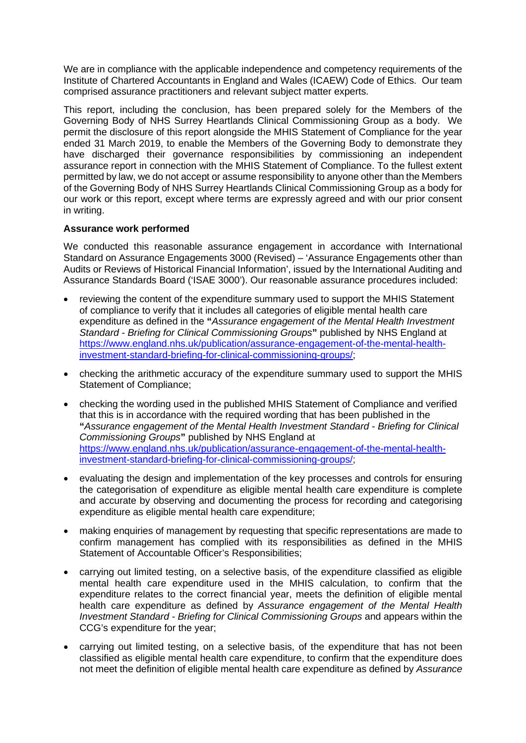We are in compliance with the applicable independence and competency requirements of the Institute of Chartered Accountants in England and Wales (ICAEW) Code of Ethics. Our team comprised assurance practitioners and relevant subject matter experts.

This report, including the conclusion, has been prepared solely for the Members of the Governing Body of NHS Surrey Heartlands Clinical Commissioning Group as a body. We permit the disclosure of this report alongside the MHIS Statement of Compliance for the year ended 31 March 2019, to enable the Members of the Governing Body to demonstrate they have discharged their governance responsibilities by commissioning an independent assurance report in connection with the MHIS Statement of Compliance. To the fullest extent permitted by law, we do not accept or assume responsibility to anyone other than the Members of the Governing Body of NHS Surrey Heartlands Clinical Commissioning Group as a body for our work or this report, except where terms are expressly agreed and with our prior consent in writing.

# **Assurance work performed**

We conducted this reasonable assurance engagement in accordance with International Standard on Assurance Engagements 3000 (Revised) – 'Assurance Engagements other than Audits or Reviews of Historical Financial Information', issued by the International Auditing and Assurance Standards Board ('ISAE 3000'). Our reasonable assurance procedures included:

- reviewing the content of the expenditure summary used to support the MHIS Statement of compliance to verify that it includes all categories of eligible mental health care expenditure as defined in the **"***Assurance engagement of the Mental Health Investment Standard - Briefing for Clinical Commissioning Groups***"** published by NHS England at [https://www.england.nhs.uk/publication/assurance-engagement-of-the-mental-health](https://www.england.nhs.uk/publication/assurance-engagement-of-the-mental-health-investment-standard-briefing-for-clinical-commissioning-groups/)[investment-standard-briefing-for-clinical-commissioning-groups/;](https://www.england.nhs.uk/publication/assurance-engagement-of-the-mental-health-investment-standard-briefing-for-clinical-commissioning-groups/)
- checking the arithmetic accuracy of the expenditure summary used to support the MHIS Statement of Compliance;
- checking the wording used in the published MHIS Statement of Compliance and verified that this is in accordance with the required wording that has been published in the **"***Assurance engagement of the Mental Health Investment Standard - Briefing for Clinical Commissioning Groups***"** published by NHS England at [https://www.england.nhs.uk/publication/assurance-engagement-of-the-mental-health](https://www.england.nhs.uk/publication/assurance-engagement-of-the-mental-health-investment-standard-briefing-for-clinical-commissioning-groups/)[investment-standard-briefing-for-clinical-commissioning-groups/;](https://www.england.nhs.uk/publication/assurance-engagement-of-the-mental-health-investment-standard-briefing-for-clinical-commissioning-groups/)
- evaluating the design and implementation of the key processes and controls for ensuring the categorisation of expenditure as eligible mental health care expenditure is complete and accurate by observing and documenting the process for recording and categorising expenditure as eligible mental health care expenditure;
- making enquiries of management by requesting that specific representations are made to confirm management has complied with its responsibilities as defined in the MHIS Statement of Accountable Officer's Responsibilities;
- carrying out limited testing, on a selective basis, of the expenditure classified as eligible mental health care expenditure used in the MHIS calculation, to confirm that the expenditure relates to the correct financial year, meets the definition of eligible mental health care expenditure as defined by *Assurance engagement of the Mental Health Investment Standard - Briefing for Clinical Commissioning Groups* and appears within the CCG's expenditure for the year;
- carrying out limited testing, on a selective basis, of the expenditure that has not been classified as eligible mental health care expenditure, to confirm that the expenditure does not meet the definition of eligible mental health care expenditure as defined by *Assurance*